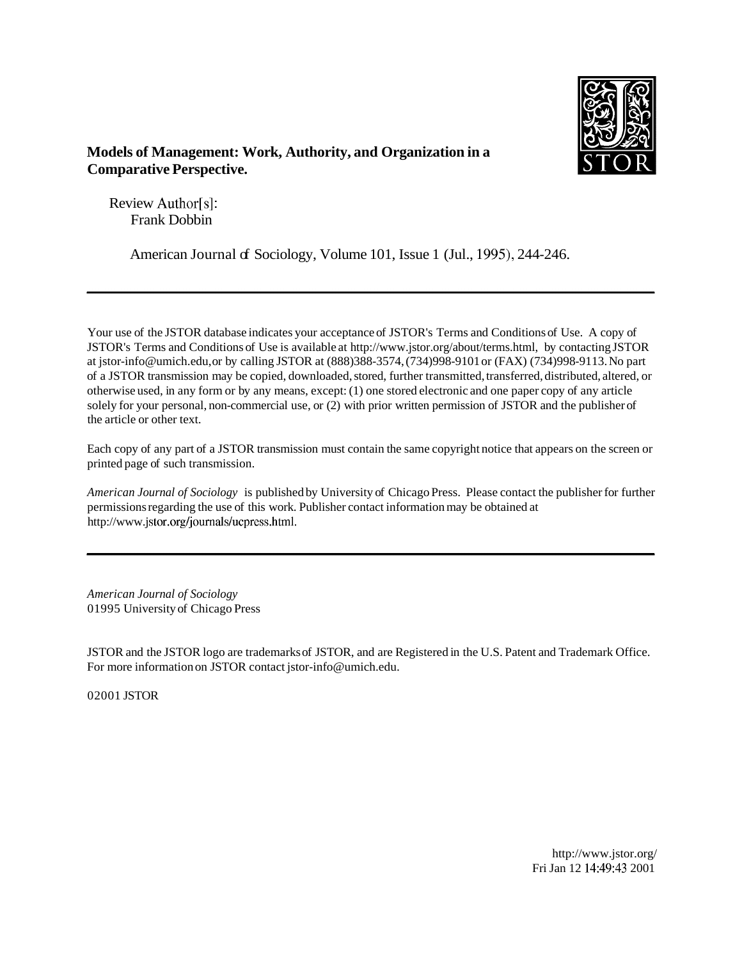

## **Models of Management: Work, Authority, and Organization in a Comparative Perspective.**

Review Author[s]: Frank Dobbin

American Journal of Sociology, Volume 101, Issue 1 (Jul., 1995), 244-246.

Your use of the JSTOR database indicates your acceptance of JSTOR's Terms and Conditions of Use. A copy of JSTOR's Terms and Conditions of Use is available at http://www.jstor.org/about/terms.html, by contacting JSTOR at jstor-info@umich.edu, or by calling JSTOR at (888)388-3574, (734)998-9101 or (FAX) (734)998-9113. No part of a JSTOR transmission may be copied, downloaded, stored, further transmitted, transferred, distributed, altered, or otherwise used, in any form or by any means, except: (1) one stored electronic and one paper copy of any article solely for your personal, non-commercial use, or (2) with prior written permission of JSTOR and the publisher of the article or other text.

Each copy of any part of a JSTOR transmission must contain the same copyright notice that appears on the screen or printed page of such transmission.

*American Journal of Sociology* is published by University of Chicago Press. Please contact the publisher for further permissions regarding the use of this work. Publisher contact information may be obtained at http://www.jstor.org/journals/ucpress.html.

*American Journal of Sociology*  01995 University of Chicago Press

JSTOR and the JSTOR logo are trademarks of JSTOR, and are Registered in the U.S. Patent and Trademark Office. For more information on JSTOR contact jstor-info@umich.edu.

02001 JSTOR

http://www.jstor.org/ Fri Jan 12 14:49:43 2001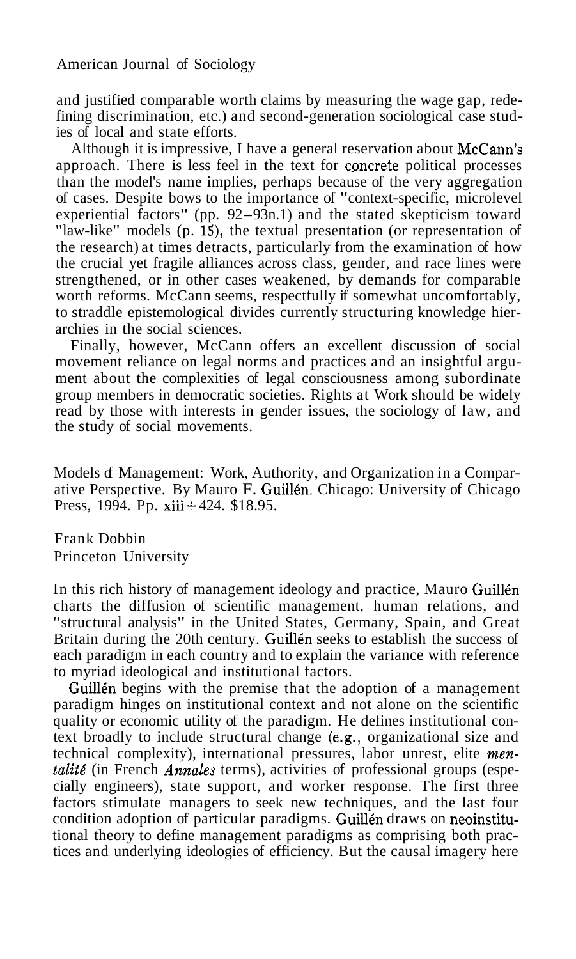American Journal of Sociology

and justified comparable worth claims by measuring the wage gap, redefining discrimination, etc.) and second-generation sociological case studies of local and state efforts.

Although it is impressive, I have a general reservation about McCann's approach. There is less feel in the text for cpncrete political processes than the model's name implies, perhaps because of the very aggregation of cases. Despite bows to the importance of "context-specific, microlevel experiential factors" (pp. 92-93n.1) and the stated skepticism toward "law-like" models (p. IS), the textual presentation (or representation of the research) at times detracts, particularly from the examination of how the crucial yet fragile alliances across class, gender, and race lines were strengthened, or in other cases weakened, by demands for comparable worth reforms. McCann seems, respectfully if somewhat uncomfortably, to straddle epistemological divides currently structuring knowledge hierarchies in the social sciences.

Finally, however, McCann offers an excellent discussion of social movement reliance on legal norms and practices and an insightful argument about the complexities of legal consciousness among subordinate group members in democratic societies. Rights at Work should be widely read by those with interests in gender issues, the sociology of law, and the study of social movements.

Models of Management: Work, Authority, and Organization in a Comparative Perspective. By Mauro F. Guillén. Chicago: University of Chicago Press, 1994. Pp. xiii + 424. \$18.95.

Frank Dobbin Princeton University

In this rich history of management ideology and practice, Mauro Guillén charts the diffusion of scientific management, human relations, and "structural analysis" in the United States, Germany, Spain, and Great Britain during the 20th century. Guillén seeks to establish the success of each paradigm in each country and to explain the variance with reference to myriad ideological and institutional factors.

Guillén begins with the premise that the adoption of a management paradigm hinges on institutional context and not alone on the scientific quality or economic utility of the paradigm. He defines institutional context broadly to include structural change (e.g., organizational size and technical complexity), international pressures, labor unrest, elite mentalité (in French Annales terms), activities of professional groups (especially engineers), state support, and worker response. The first three factors stimulate managers to seek new techniques, and the last four condition adoption of particular paradigms. Guillén draws on neoinstitutional theory to define management paradigms as comprising both practices and underlying ideologies of efficiency. But the causal imagery here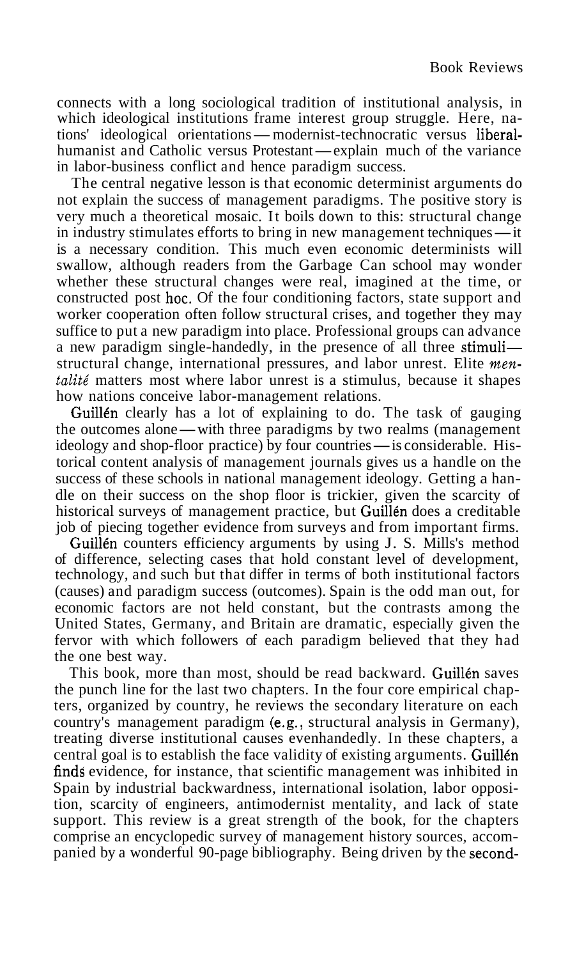connects with a long sociological tradition of institutional analysis, in which ideological institutions frame interest group struggle. Here, naconnects with a long sociological tradition of institutional analysis, in<br>which ideological institutions frame interest group struggle. Here, na-<br>tions' ideological orientations— modernist-technocratic versus liberal-<br>huma which ideological institutions frame interest group struggle. Here, nations' ideological orientations—modernist-technocratic versus liberal-<br>humanist and Catholic versus Protestant—explain much of the variance<br>in labor-bus in labor-business conflict and hence paradigm success.

The central negative lesson is that economic determinist arguments do not explain the success of management paradigms. The positive story is very much a theoretical mosaic. It boils down to this: structural change not explain the success of management paradigms. The positive story is<br>very much a theoretical mosaic. It boils down to this: structural change<br>in industry stimulates efforts to bring in new management techniques—it<br>is a n is a necessary condition. This much even economic determinists will swallow, although readers from the Garbage Can school may wonder whether these structural changes were real, imagined at the time, or constructed post hoc. Of the four conditioning factors, state support and worker cooperation often follow structural crises, and together they may suffice to put a new paradigm into place. Professional groups can advance a new paradigm single-handedly, in the presence of all three stimuli structural change, international pressures, and labor unrest. Elite *mentalité* matters most where labor unrest is a stimulus, because it shapes how nations conceive labor-management relations.

Guillén clearly has a lot of explaining to do. The task of gauging how nations conceive labor-management relations.<br> **Guillén** clearly has a lot of explaining to do. The task of gauging<br>
the outcomes alone—with three paradigms by two realms (management<br>
ideology and shop-floor practice) b Guillén clearly has a lot of explaining to do. The task of gauging<br>the outcomes alone—with three paradigms by two realms (management<br>ideology and shop-floor practice) by four countries—is considerable. His-<br>torical content torical content analysis of management journals gives us a handle on the success of these schools in national management ideology. Getting a handle on their success on the shop floor is trickier, given the scarcity of historical surveys of management practice, but Guillén does a creditable job of piecing together evidence from surveys and from important firms.

Guillén counters efficiency arguments by using J. S. Mills's method of difference, selecting cases that hold constant level of development, technology, and such but that differ in terms of both institutional factors (causes) and paradigm success (outcomes). Spain is the odd man out, for economic factors are not held constant, but the contrasts among the United States, Germany, and Britain are dramatic, especially given the fervor with which followers of each paradigm believed that they had the one best way.

This book, more than most, should be read backward. Guillén saves the punch line for the last two chapters. In the four core empirical chapters, organized by country, he reviews the secondary literature on each country's management paradigm (e.g., structural analysis in Germany), treating diverse institutional causes evenhandedly. In these chapters, a central goal is to establish the face validity of existing arguments. Guillen finds evidence, for instance, that scientific management was inhibited in Spain by industrial backwardness, international isolation, labor opposition, scarcity of engineers, antimodernist mentality, and lack of state support. This review is a great strength of the book, for the chapters comprise an encyclopedic survey of management history sources, accompanied by a wonderful 90-page bibliography. Being driven by the second-